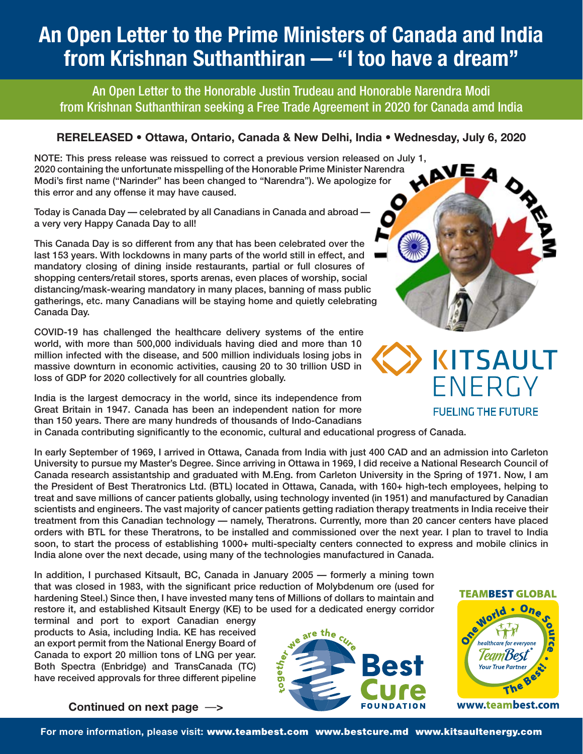# **An Open Letter to the Prime Ministers of Canada and India from Krishnan Suthanthiran — "I too have a dream"**

An Open Letter to the Honorable Justin Trudeau and Honorable Narendra Modi from Krishnan Suthanthiran seeking a Free Trade Agreement in 2020 for Canada amd India

### **RERELEASED • Ottawa, Ontario, Canada & New Delhi, India • Wednesday, July 6, 2020**

NOTE: This press release was reissued to correct a previous version released on July 1,<br>2020 containing the unfortunate misspelling of the Honorable Prime Minister Narendra<br>Modi's first name ("Narinder" has been changed t 2020 containing the unfortunate misspelling of the Honorable Prime Minister Narendra Modi's first name ("Narinder" has been changed to "Narendra"). We apologize for<br>this error and any offense it may have caused.<br>Today is Canada Day — celebrated by all Canadians in Canada and abroad —<br>a very very Happy Cana this error and any offense it may have caused.

Today is Canada Day — celebrated by all Canadians in Canada and abroad a very very Happy Canada Day to all!

This Canada Day is so different from any that has been celebrated over the last 153 years. With lockdowns in many parts of the world still in effect, and mandatory closing of dining inside restaurants, partial or full closures of shopping centers/retail stores, sports arenas, even places of worship, social distancing/mask-wearing mandatory in many places, banning of mass public gatherings, etc. many Canadians will be staying home and quietly celebrating Canada Day.

COVID-19 has challenged the healthcare delivery systems of the entire world, with more than 500,000 individuals having died and more than 10 million infected with the disease, and 500 million individuals losing jobs in massive downturn in economic activities, causing 20 to 30 trillion USD in loss of GDP for 2020 collectively for all countries globally.

India is the largest democracy in the world, since its independence from Great Britain in 1947. Canada has been an independent nation for more than 150 years. There are many hundreds of thousands of Indo-Canadians in Canada contributing significantly to the economic, cultural and educational progress of Canada.

In early September of 1969, I arrived in Ottawa, Canada from India with just 400 CAD and an admission into Carleton University to pursue my Master's Degree. Since arriving in Ottawa in 1969, I did receive a National Research Council of Canada research assistantship and graduated with M.Eng. from Carleton University in the Spring of 1971. Now, I am the President of Best Theratronics Ltd. (BTL) located in Ottawa, Canada, with 160+ high-tech employees, helping to treat and save millions of cancer patients globally, using technology invented (in 1951) and manufactured by Canadian scientists and engineers. The vast majority of cancer patients getting radiation therapy treatments in India receive their treatment from this Canadian technology — namely, Theratrons. Currently, more than 20 cancer centers have placed orders with BTL for these Theratrons, to be installed and commissioned over the next year. I plan to travel to India soon, to start the process of establishing 1000+ multi-specialty centers connected to express and mobile clinics in India alone over the next decade, using many of the technologies manufactured in Canada.

In addition, I purchased Kitsault, BC, Canada in January 2005 — formerly a mining town that was closed in 1983, with the significant price reduction of Molybdenum ore (used for hardening Steel.) Since then, I have invested many tens of Millions of dollars to maintain and restore it, and established Kitsault Energy (KE) to be used for a dedicated energy corridor

terminal and port to export Canadian energy products to Asia, including India. KE has received an export permit from the National Energy Board of Canada to export 20 million tons of LNG per year. Both Spectra (Enbridge) and TransCanada (TC) have received approvals for three different pipeline



**TEAMBEST GLOBAL** 

**FUELING THE FUTURE** 



**Continued on next page** —**>**